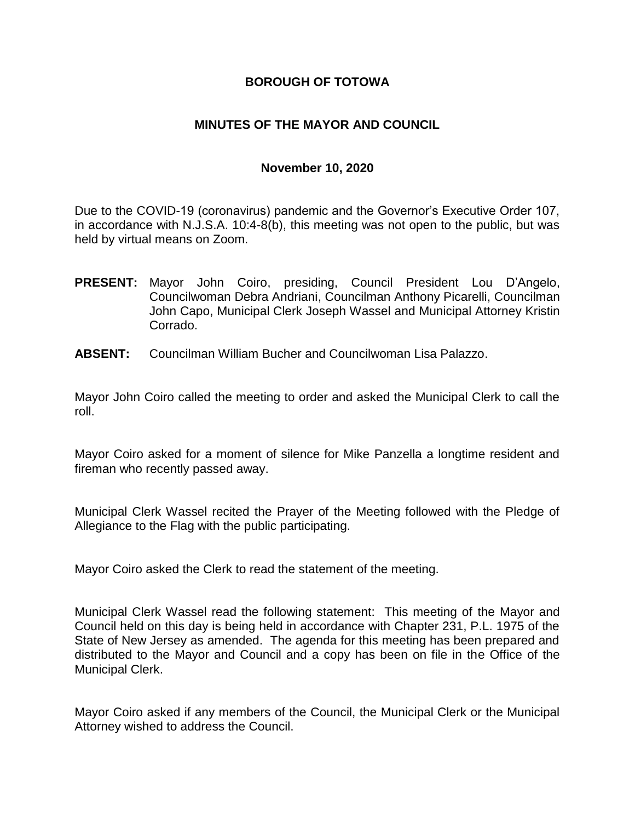### **BOROUGH OF TOTOWA**

### **MINUTES OF THE MAYOR AND COUNCIL**

#### **November 10, 2020**

Due to the COVID-19 (coronavirus) pandemic and the Governor's Executive Order 107, in accordance with N.J.S.A. 10:4-8(b), this meeting was not open to the public, but was held by virtual means on Zoom.

- **PRESENT:** Mayor John Coiro, presiding, Council President Lou D'Angelo, Councilwoman Debra Andriani, Councilman Anthony Picarelli, Councilman John Capo, Municipal Clerk Joseph Wassel and Municipal Attorney Kristin Corrado.
- **ABSENT:** Councilman William Bucher and Councilwoman Lisa Palazzo.

Mayor John Coiro called the meeting to order and asked the Municipal Clerk to call the roll.

Mayor Coiro asked for a moment of silence for Mike Panzella a longtime resident and fireman who recently passed away.

Municipal Clerk Wassel recited the Prayer of the Meeting followed with the Pledge of Allegiance to the Flag with the public participating.

Mayor Coiro asked the Clerk to read the statement of the meeting.

Municipal Clerk Wassel read the following statement: This meeting of the Mayor and Council held on this day is being held in accordance with Chapter 231, P.L. 1975 of the State of New Jersey as amended. The agenda for this meeting has been prepared and distributed to the Mayor and Council and a copy has been on file in the Office of the Municipal Clerk.

Mayor Coiro asked if any members of the Council, the Municipal Clerk or the Municipal Attorney wished to address the Council.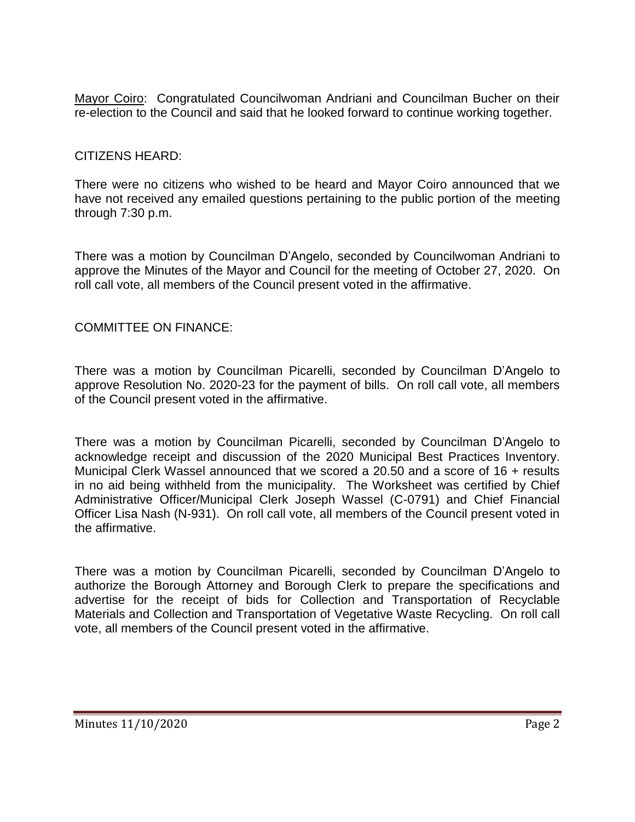Mayor Coiro: Congratulated Councilwoman Andriani and Councilman Bucher on their re-election to the Council and said that he looked forward to continue working together.

### CITIZENS HEARD:

There were no citizens who wished to be heard and Mayor Coiro announced that we have not received any emailed questions pertaining to the public portion of the meeting through 7:30 p.m.

There was a motion by Councilman D'Angelo, seconded by Councilwoman Andriani to approve the Minutes of the Mayor and Council for the meeting of October 27, 2020. On roll call vote, all members of the Council present voted in the affirmative.

### COMMITTEE ON FINANCE:

There was a motion by Councilman Picarelli, seconded by Councilman D'Angelo to approve Resolution No. 2020-23 for the payment of bills. On roll call vote, all members of the Council present voted in the affirmative.

There was a motion by Councilman Picarelli, seconded by Councilman D'Angelo to acknowledge receipt and discussion of the 2020 Municipal Best Practices Inventory. Municipal Clerk Wassel announced that we scored a 20.50 and a score of 16 + results in no aid being withheld from the municipality. The Worksheet was certified by Chief Administrative Officer/Municipal Clerk Joseph Wassel (C-0791) and Chief Financial Officer Lisa Nash (N-931). On roll call vote, all members of the Council present voted in the affirmative.

There was a motion by Councilman Picarelli, seconded by Councilman D'Angelo to authorize the Borough Attorney and Borough Clerk to prepare the specifications and advertise for the receipt of bids for Collection and Transportation of Recyclable Materials and Collection and Transportation of Vegetative Waste Recycling. On roll call vote, all members of the Council present voted in the affirmative.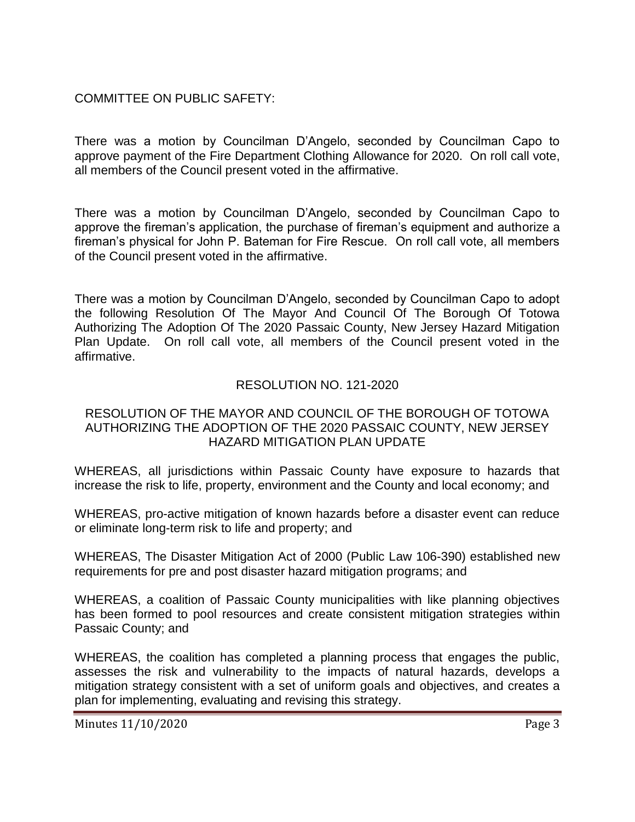COMMITTEE ON PUBLIC SAFETY:

There was a motion by Councilman D'Angelo, seconded by Councilman Capo to approve payment of the Fire Department Clothing Allowance for 2020. On roll call vote, all members of the Council present voted in the affirmative.

There was a motion by Councilman D'Angelo, seconded by Councilman Capo to approve the fireman's application, the purchase of fireman's equipment and authorize a fireman's physical for John P. Bateman for Fire Rescue. On roll call vote, all members of the Council present voted in the affirmative.

There was a motion by Councilman D'Angelo, seconded by Councilman Capo to adopt the following Resolution Of The Mayor And Council Of The Borough Of Totowa Authorizing The Adoption Of The 2020 Passaic County, New Jersey Hazard Mitigation Plan Update. On roll call vote, all members of the Council present voted in the affirmative.

## RESOLUTION NO. 121-2020

#### RESOLUTION OF THE MAYOR AND COUNCIL OF THE BOROUGH OF TOTOWA AUTHORIZING THE ADOPTION OF THE 2020 PASSAIC COUNTY, NEW JERSEY HAZARD MITIGATION PLAN UPDATE

WHEREAS, all jurisdictions within Passaic County have exposure to hazards that increase the risk to life, property, environment and the County and local economy; and

WHEREAS, pro-active mitigation of known hazards before a disaster event can reduce or eliminate long-term risk to life and property; and

WHEREAS, The Disaster Mitigation Act of 2000 (Public Law 106-390) established new requirements for pre and post disaster hazard mitigation programs; and

WHEREAS, a coalition of Passaic County municipalities with like planning objectives has been formed to pool resources and create consistent mitigation strategies within Passaic County; and

WHEREAS, the coalition has completed a planning process that engages the public, assesses the risk and vulnerability to the impacts of natural hazards, develops a mitigation strategy consistent with a set of uniform goals and objectives, and creates a plan for implementing, evaluating and revising this strategy.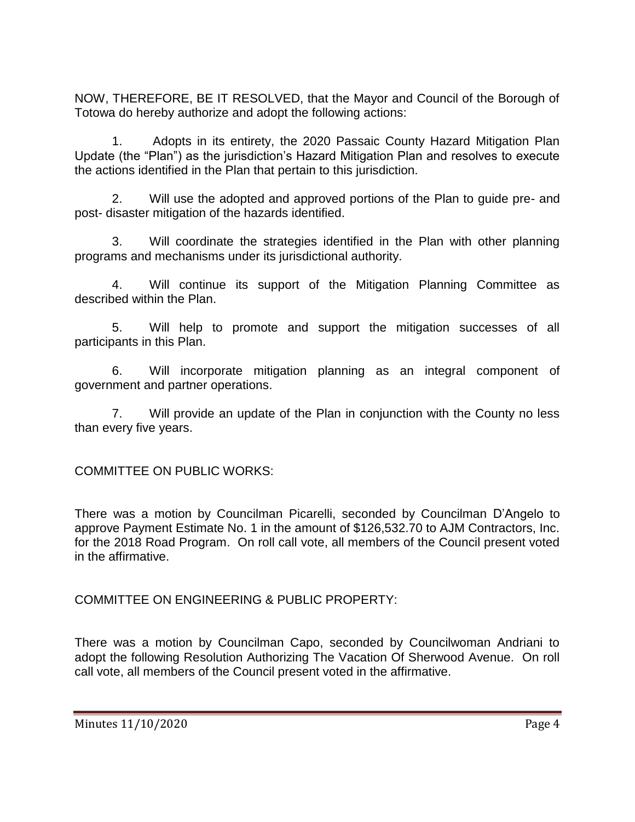NOW, THEREFORE, BE IT RESOLVED, that the Mayor and Council of the Borough of Totowa do hereby authorize and adopt the following actions:

1. Adopts in its entirety, the 2020 Passaic County Hazard Mitigation Plan Update (the "Plan") as the jurisdiction's Hazard Mitigation Plan and resolves to execute the actions identified in the Plan that pertain to this jurisdiction.

2. Will use the adopted and approved portions of the Plan to guide pre- and post- disaster mitigation of the hazards identified.

3. Will coordinate the strategies identified in the Plan with other planning programs and mechanisms under its jurisdictional authority.

4. Will continue its support of the Mitigation Planning Committee as described within the Plan.

5. Will help to promote and support the mitigation successes of all participants in this Plan.

6. Will incorporate mitigation planning as an integral component of government and partner operations.

7. Will provide an update of the Plan in conjunction with the County no less than every five years.

COMMITTEE ON PUBLIC WORKS:

There was a motion by Councilman Picarelli, seconded by Councilman D'Angelo to approve Payment Estimate No. 1 in the amount of \$126,532.70 to AJM Contractors, Inc. for the 2018 Road Program. On roll call vote, all members of the Council present voted in the affirmative.

COMMITTEE ON ENGINEERING & PUBLIC PROPERTY:

There was a motion by Councilman Capo, seconded by Councilwoman Andriani to adopt the following Resolution Authorizing The Vacation Of Sherwood Avenue. On roll call vote, all members of the Council present voted in the affirmative.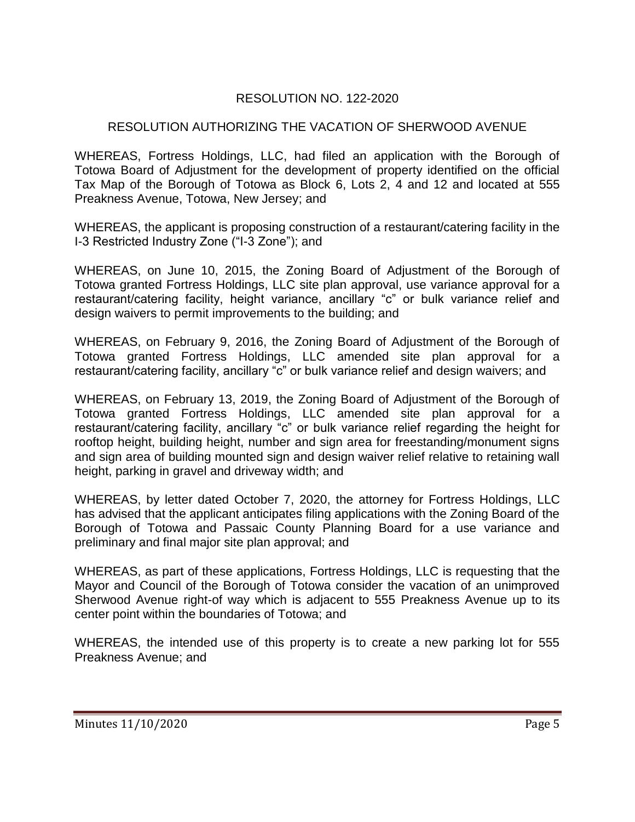## RESOLUTION NO. 122-2020

## RESOLUTION AUTHORIZING THE VACATION OF SHERWOOD AVENUE

WHEREAS, Fortress Holdings, LLC, had filed an application with the Borough of Totowa Board of Adjustment for the development of property identified on the official Tax Map of the Borough of Totowa as Block 6, Lots 2, 4 and 12 and located at 555 Preakness Avenue, Totowa, New Jersey; and

WHEREAS, the applicant is proposing construction of a restaurant/catering facility in the I-3 Restricted Industry Zone ("I-3 Zone"); and

WHEREAS, on June 10, 2015, the Zoning Board of Adjustment of the Borough of Totowa granted Fortress Holdings, LLC site plan approval, use variance approval for a restaurant/catering facility, height variance, ancillary "c" or bulk variance relief and design waivers to permit improvements to the building; and

WHEREAS, on February 9, 2016, the Zoning Board of Adjustment of the Borough of Totowa granted Fortress Holdings, LLC amended site plan approval for a restaurant/catering facility, ancillary "c" or bulk variance relief and design waivers; and

WHEREAS, on February 13, 2019, the Zoning Board of Adjustment of the Borough of Totowa granted Fortress Holdings, LLC amended site plan approval for a restaurant/catering facility, ancillary "c" or bulk variance relief regarding the height for rooftop height, building height, number and sign area for freestanding/monument signs and sign area of building mounted sign and design waiver relief relative to retaining wall height, parking in gravel and driveway width; and

WHEREAS, by letter dated October 7, 2020, the attorney for Fortress Holdings, LLC has advised that the applicant anticipates filing applications with the Zoning Board of the Borough of Totowa and Passaic County Planning Board for a use variance and preliminary and final major site plan approval; and

WHEREAS, as part of these applications, Fortress Holdings, LLC is requesting that the Mayor and Council of the Borough of Totowa consider the vacation of an unimproved Sherwood Avenue right-of way which is adjacent to 555 Preakness Avenue up to its center point within the boundaries of Totowa; and

WHEREAS, the intended use of this property is to create a new parking lot for 555 Preakness Avenue; and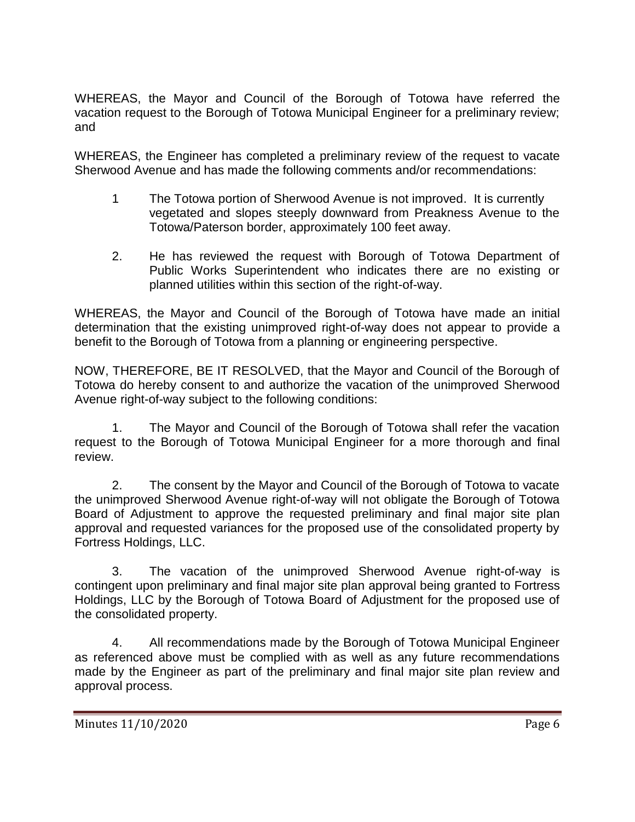WHEREAS, the Mayor and Council of the Borough of Totowa have referred the vacation request to the Borough of Totowa Municipal Engineer for a preliminary review; and

WHEREAS, the Engineer has completed a preliminary review of the request to vacate Sherwood Avenue and has made the following comments and/or recommendations:

- 1 The Totowa portion of Sherwood Avenue is not improved. It is currently vegetated and slopes steeply downward from Preakness Avenue to the Totowa/Paterson border, approximately 100 feet away.
- 2. He has reviewed the request with Borough of Totowa Department of Public Works Superintendent who indicates there are no existing or planned utilities within this section of the right-of-way.

WHEREAS, the Mayor and Council of the Borough of Totowa have made an initial determination that the existing unimproved right-of-way does not appear to provide a benefit to the Borough of Totowa from a planning or engineering perspective.

NOW, THEREFORE, BE IT RESOLVED, that the Mayor and Council of the Borough of Totowa do hereby consent to and authorize the vacation of the unimproved Sherwood Avenue right-of-way subject to the following conditions:

1. The Mayor and Council of the Borough of Totowa shall refer the vacation request to the Borough of Totowa Municipal Engineer for a more thorough and final review.

2. The consent by the Mayor and Council of the Borough of Totowa to vacate the unimproved Sherwood Avenue right-of-way will not obligate the Borough of Totowa Board of Adjustment to approve the requested preliminary and final major site plan approval and requested variances for the proposed use of the consolidated property by Fortress Holdings, LLC.

3. The vacation of the unimproved Sherwood Avenue right-of-way is contingent upon preliminary and final major site plan approval being granted to Fortress Holdings, LLC by the Borough of Totowa Board of Adjustment for the proposed use of the consolidated property.

4. All recommendations made by the Borough of Totowa Municipal Engineer as referenced above must be complied with as well as any future recommendations made by the Engineer as part of the preliminary and final major site plan review and approval process.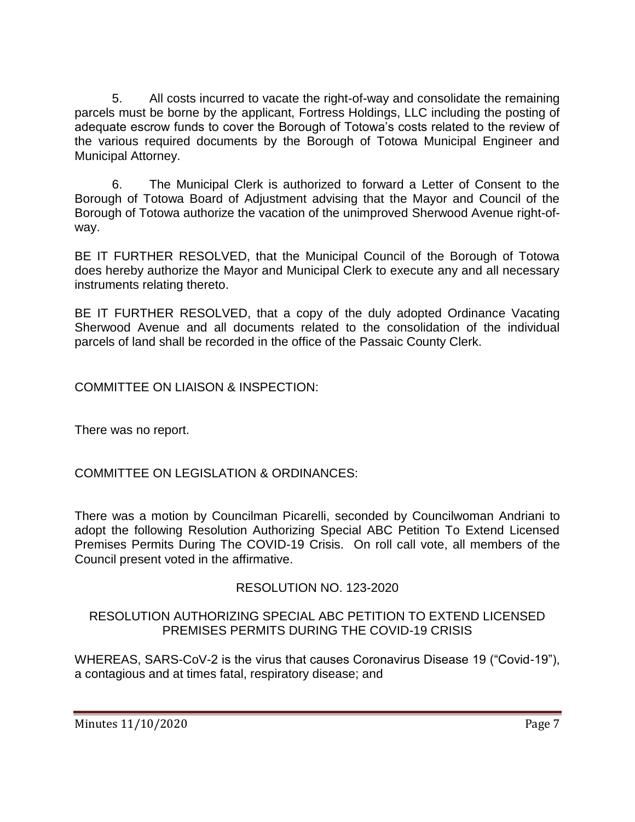5. All costs incurred to vacate the right-of-way and consolidate the remaining parcels must be borne by the applicant, Fortress Holdings, LLC including the posting of adequate escrow funds to cover the Borough of Totowa's costs related to the review of the various required documents by the Borough of Totowa Municipal Engineer and Municipal Attorney.

6. The Municipal Clerk is authorized to forward a Letter of Consent to the Borough of Totowa Board of Adjustment advising that the Mayor and Council of the Borough of Totowa authorize the vacation of the unimproved Sherwood Avenue right-ofway.

BE IT FURTHER RESOLVED, that the Municipal Council of the Borough of Totowa does hereby authorize the Mayor and Municipal Clerk to execute any and all necessary instruments relating thereto.

BE IT FURTHER RESOLVED, that a copy of the duly adopted Ordinance Vacating Sherwood Avenue and all documents related to the consolidation of the individual parcels of land shall be recorded in the office of the Passaic County Clerk.

COMMITTEE ON LIAISON & INSPECTION:

There was no report.

COMMITTEE ON LEGISLATION & ORDINANCES:

There was a motion by Councilman Picarelli, seconded by Councilwoman Andriani to adopt the following Resolution Authorizing Special ABC Petition To Extend Licensed Premises Permits During The COVID-19 Crisis. On roll call vote, all members of the Council present voted in the affirmative.

# RESOLUTION NO. 123-2020

## RESOLUTION AUTHORIZING SPECIAL ABC PETITION TO EXTEND LICENSED PREMISES PERMITS DURING THE COVID-19 CRISIS

WHEREAS, SARS-CoV-2 is the virus that causes Coronavirus Disease 19 ("Covid-19"), a contagious and at times fatal, respiratory disease; and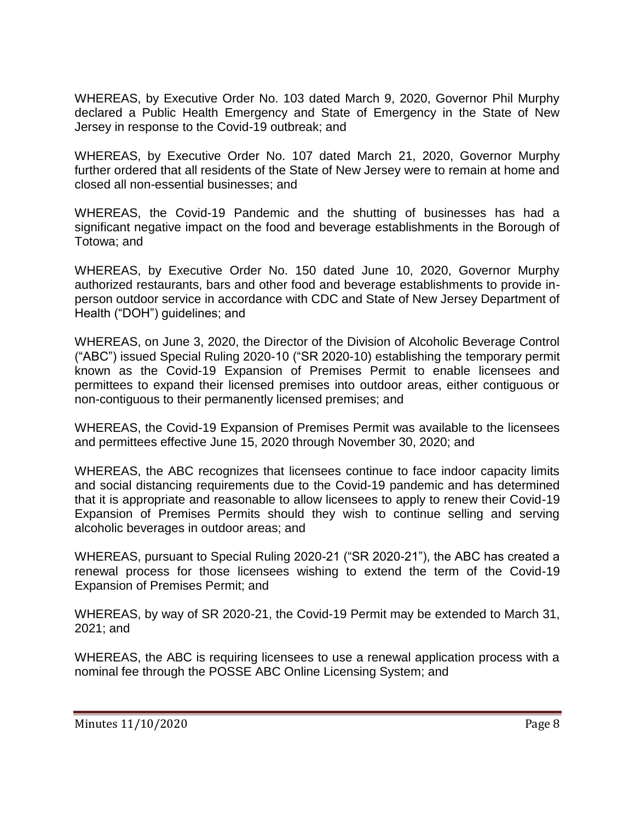WHEREAS, by Executive Order No. 103 dated March 9, 2020, Governor Phil Murphy declared a Public Health Emergency and State of Emergency in the State of New Jersey in response to the Covid-19 outbreak; and

WHEREAS, by Executive Order No. 107 dated March 21, 2020, Governor Murphy further ordered that all residents of the State of New Jersey were to remain at home and closed all non-essential businesses; and

WHEREAS, the Covid-19 Pandemic and the shutting of businesses has had a significant negative impact on the food and beverage establishments in the Borough of Totowa; and

WHEREAS, by Executive Order No. 150 dated June 10, 2020, Governor Murphy authorized restaurants, bars and other food and beverage establishments to provide inperson outdoor service in accordance with CDC and State of New Jersey Department of Health ("DOH") guidelines; and

WHEREAS, on June 3, 2020, the Director of the Division of Alcoholic Beverage Control ("ABC") issued Special Ruling 2020-10 ("SR 2020-10) establishing the temporary permit known as the Covid-19 Expansion of Premises Permit to enable licensees and permittees to expand their licensed premises into outdoor areas, either contiguous or non-contiguous to their permanently licensed premises; and

WHEREAS, the Covid-19 Expansion of Premises Permit was available to the licensees and permittees effective June 15, 2020 through November 30, 2020; and

WHEREAS, the ABC recognizes that licensees continue to face indoor capacity limits and social distancing requirements due to the Covid-19 pandemic and has determined that it is appropriate and reasonable to allow licensees to apply to renew their Covid-19 Expansion of Premises Permits should they wish to continue selling and serving alcoholic beverages in outdoor areas; and

WHEREAS, pursuant to Special Ruling 2020-21 ("SR 2020-21"), the ABC has created a renewal process for those licensees wishing to extend the term of the Covid-19 Expansion of Premises Permit; and

WHEREAS, by way of SR 2020-21, the Covid-19 Permit may be extended to March 31, 2021; and

WHEREAS, the ABC is requiring licensees to use a renewal application process with a nominal fee through the POSSE ABC Online Licensing System; and